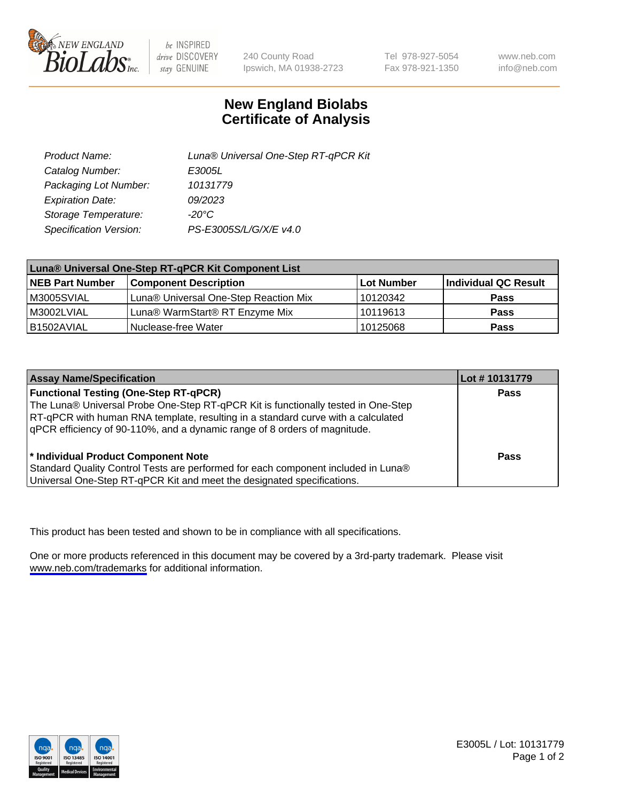

be INSPIRED drive DISCOVERY stay GENUINE

240 County Road Ipswich, MA 01938-2723 Tel 978-927-5054 Fax 978-921-1350

www.neb.com info@neb.com

## **New England Biolabs Certificate of Analysis**

| Product Name:           | Luna® Universal One-Step RT-qPCR Kit |
|-------------------------|--------------------------------------|
| Catalog Number:         | E3005L                               |
| Packaging Lot Number:   | 10131779                             |
| <b>Expiration Date:</b> | 09/2023                              |
| Storage Temperature:    | $-20^{\circ}$ C                      |
| Specification Version:  | PS-E3005S/L/G/X/E v4.0               |

| Luna® Universal One-Step RT-qPCR Kit Component List |                                       |            |                      |  |
|-----------------------------------------------------|---------------------------------------|------------|----------------------|--|
| <b>NEB Part Number</b>                              | <b>Component Description</b>          | Lot Number | Individual QC Result |  |
| M3005SVIAL                                          | Luna® Universal One-Step Reaction Mix | 10120342   | Pass                 |  |
| M3002LVIAL                                          | Luna® WarmStart® RT Enzyme Mix        | 10119613   | <b>Pass</b>          |  |
| B1502AVIAL                                          | Nuclease-free Water                   | 10125068   | <b>Pass</b>          |  |

| <b>Assay Name/Specification</b>                                                   | Lot #10131779 |
|-----------------------------------------------------------------------------------|---------------|
| <b>Functional Testing (One-Step RT-qPCR)</b>                                      | <b>Pass</b>   |
| The Luna® Universal Probe One-Step RT-qPCR Kit is functionally tested in One-Step |               |
| RT-qPCR with human RNA template, resulting in a standard curve with a calculated  |               |
| gPCR efficiency of 90-110%, and a dynamic range of 8 orders of magnitude.         |               |
| <sup>*</sup> Individual Product Component Note                                    | Pass          |
| Standard Quality Control Tests are performed for each component included in Luna® |               |
| Universal One-Step RT-qPCR Kit and meet the designated specifications.            |               |

This product has been tested and shown to be in compliance with all specifications.

One or more products referenced in this document may be covered by a 3rd-party trademark. Please visit <www.neb.com/trademarks>for additional information.